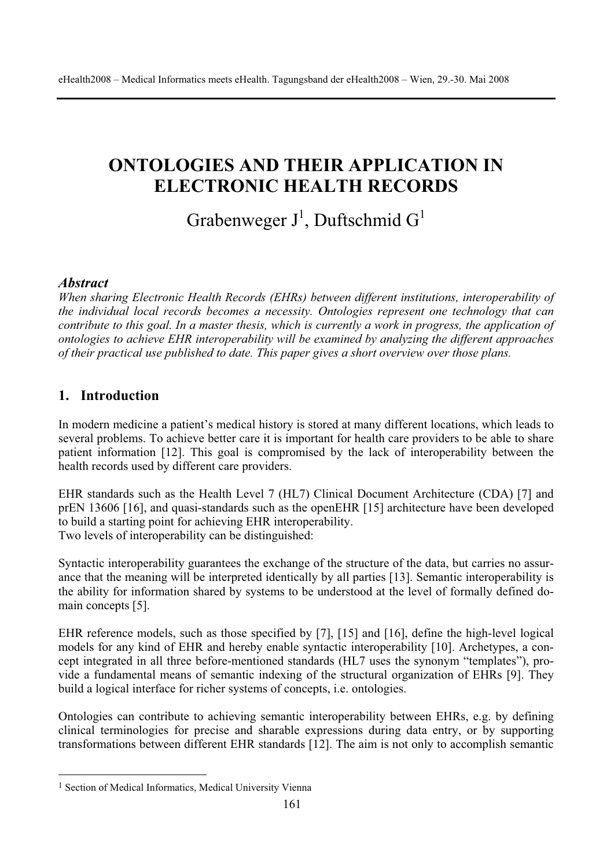# **ONTOLOGIES AND THEIR APPLICATION IN ELECTRONIC HEALTH RECORDS**

Grabenweger  $J^1$ , Duftschmid G<sup>1</sup>

#### *Abstract*

*When sharing Electronic Health Records (EHRs) between different institutions, interoperability of the individual local records becomes a necessity. Ontologies represent one technology that can contribute to this goal. In a master thesis, which is currently a work in progress, the application of ontologies to achieve EHR interoperability will be examined by analyzing the different approaches of their practical use published to date. This paper gives a short overview over those plans.* 

### **1. Introduction**

In modern medicine a patient's medical history is stored at many different locations, which leads to several problems. To achieve better care it is important for health care providers to be able to share patient information [12]. This goal is compromised by the lack of interoperability between the health records used by different care providers.

EHR standards such as the Health Level 7 (HL7) Clinical Document Architecture (CDA) [7] and prEN 13606 [16], and quasi-standards such as the openEHR [15] architecture have been developed to build a starting point for achieving EHR interoperability. Two levels of interoperability can be distinguished:

Syntactic interoperability guarantees the exchange of the structure of the data, but carries no assurance that the meaning will be interpreted identically by all parties [13]. Semantic interoperability is the ability for information shared by systems to be understood at the level of formally defined domain concepts [5].

EHR reference models, such as those specified by [7], [15] and [16], define the high-level logical models for any kind of EHR and hereby enable syntactic interoperability [10]. Archetypes, a concept integrated in all three before-mentioned standards (HL7 uses the synonym "templates"), provide a fundamental means of semantic indexing of the structural organization of EHRs [9]. They build a logical interface for richer systems of concepts, i.e. ontologies.

Ontologies can contribute to achieving semantic interoperability between EHRs, e.g. by defining clinical terminologies for precise and sharable expressions during data entry, or by supporting transformations between different EHR standards [12]. The aim is not only to accomplish semantic

<sup>&</sup>lt;sup>1</sup> Section of Medical Informatics, Medical University Vienna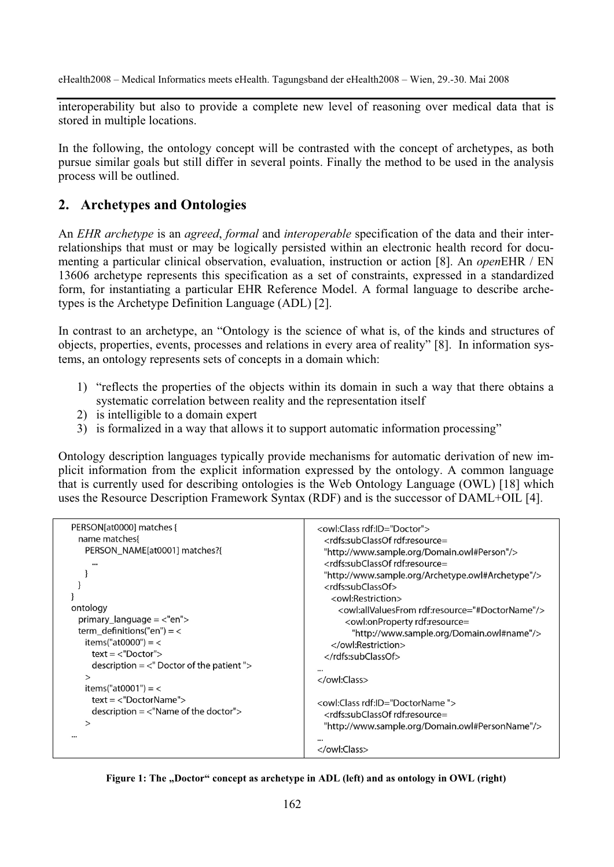eHealth2008 – Medical Informatics meets eHealth. Tagungsband der eHealth2008 – Wien, 29.-30. Mai 2008

interoperability but also to provide a complete new level of reasoning over medical data that is stored in multiple locations.

In the following, the ontology concept will be contrasted with the concept of archetypes, as both pursue similar goals but still differ in several points. Finally the method to be used in the analysis process will be outlined.

#### **2. Archetypes and Ontologies**

An *EHR archetype* is an *agreed*, *formal* and *interoperable* specification of the data and their interrelationships that must or may be logically persisted within an electronic health record for documenting a particular clinical observation, evaluation, instruction or action [8]. An *open*EHR / EN 13606 archetype represents this specification as a set of constraints, expressed in a standardized form, for instantiating a particular EHR Reference Model. A formal language to describe archetypes is the Archetype Definition Language (ADL) [2].

In contrast to an archetype, an "Ontology is the science of what is, of the kinds and structures of objects, properties, events, processes and relations in every area of reality" [8]. In information systems, an ontology represents sets of concepts in a domain which:

- 1) "reflects the properties of the objects within its domain in such a way that there obtains a systematic correlation between reality and the representation itself
- 2) is intelligible to a domain expert
- 3) is formalized in a way that allows it to support automatic information processing"

Ontology description languages typically provide mechanisms for automatic derivation of new implicit information from the explicit information expressed by the ontology. A common language that is currently used for describing ontologies is the Web Ontology Language (OWL) [18] which uses the Resource Description Framework Syntax (RDF) and is the successor of DAML+OIL [4].

| PERSON[at0000] matches {                    | <owl:class rdf:id="Doctor"></owl:class>                            |
|---------------------------------------------|--------------------------------------------------------------------|
| name matches                                | <rdfs:subclassof rdf:resource="&lt;/td"></rdfs:subclassof>         |
| PERSON NAME[at0001] matches?                | "http://www.sample.org/Domain.owl#Person"/>                        |
|                                             | <rdfs:subclassof rdf:resource="&lt;/td"></rdfs:subclassof>         |
| $\cdots$                                    |                                                                    |
|                                             | "http://www.sample.org/Archetype.owl#Archetype"/>                  |
|                                             | <rdfs:subclassof></rdfs:subclassof>                                |
|                                             | <owl:restriction></owl:restriction>                                |
| ontology                                    | <owl:allvaluesfrom rdf:resource="#DoctorName"></owl:allvaluesfrom> |
| $primary\_language = < "en" >$              | <owl:onproperty rdf:resource="&lt;/td"></owl:onproperty>           |
| term definitions("en") = $<$                | "http://www.sample.org/Domain.owl#name"/>                          |
| items("at0000") = $<$                       |                                                                    |
| $text = < "Doctor"$                         |                                                                    |
| description $=$ <" Doctor of the patient "> |                                                                    |
|                                             |                                                                    |
| $\rm{>}$                                    |                                                                    |
| items("at0001") = $\lt$                     |                                                                    |
| $text = < "DoctorName" >$                   | <owl:class rdf:id="DoctorName"></owl:class>                        |
| $description = < "Name of the doctor"$      | <rdfs:subclassof rdf:resource="&lt;/td"></rdfs:subclassof>         |
| $\geq$                                      | "http://www.sample.org/Domain.owl#PersonName"/>                    |
|                                             |                                                                    |
|                                             |                                                                    |
|                                             |                                                                    |

Figure 1: The "Doctor" concept as archetype in ADL (left) and as ontology in OWL (right)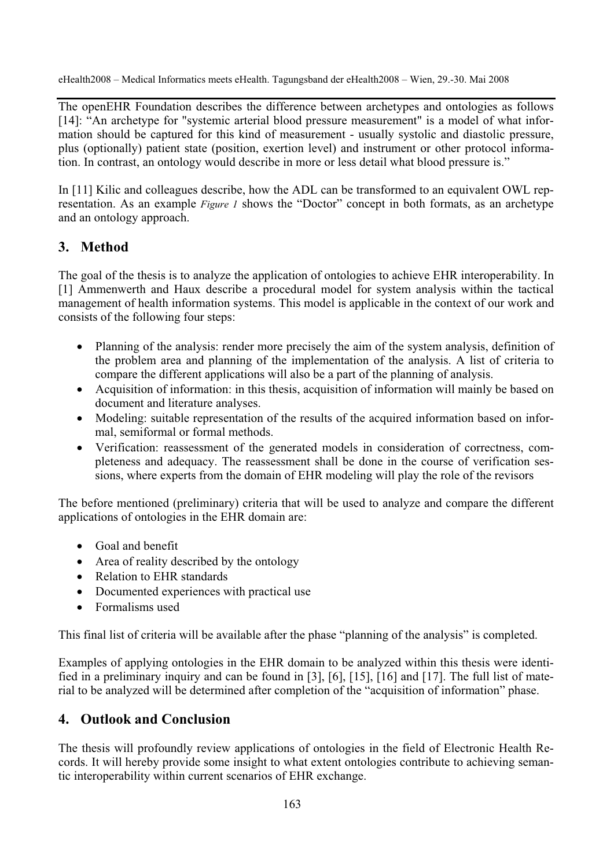eHealth2008 – Medical Informatics meets eHealth. Tagungsband der eHealth2008 – Wien, 29.-30. Mai 2008

The openEHR Foundation describes the difference between archetypes and ontologies as follows [14]: "An archetype for "systemic arterial blood pressure measurement" is a model of what information should be captured for this kind of measurement - usually systolic and diastolic pressure, plus (optionally) patient state (position, exertion level) and instrument or other protocol information. In contrast, an ontology would describe in more or less detail what blood pressure is."

In [11] Kilic and colleagues describe, how the ADL can be transformed to an equivalent OWL representation. As an example *Figure 1* shows the "Doctor" concept in both formats, as an archetype and an ontology approach.

## **3. Method**

The goal of the thesis is to analyze the application of ontologies to achieve EHR interoperability. In [1] Ammenwerth and Haux describe a procedural model for system analysis within the tactical management of health information systems. This model is applicable in the context of our work and consists of the following four steps:

- Planning of the analysis: render more precisely the aim of the system analysis, definition of the problem area and planning of the implementation of the analysis. A list of criteria to compare the different applications will also be a part of the planning of analysis.
- Acquisition of information: in this thesis, acquisition of information will mainly be based on document and literature analyses.
- Modeling: suitable representation of the results of the acquired information based on informal, semiformal or formal methods.
- x Verification: reassessment of the generated models in consideration of correctness, completeness and adequacy. The reassessment shall be done in the course of verification sessions, where experts from the domain of EHR modeling will play the role of the revisors

The before mentioned (preliminary) criteria that will be used to analyze and compare the different applications of ontologies in the EHR domain are:

- Goal and benefit
- $\bullet$  Area of reality described by the ontology
- Relation to EHR standards
- Documented experiences with practical use
- $\bullet$  Formalisms used

This final list of criteria will be available after the phase "planning of the analysis" is completed.

Examples of applying ontologies in the EHR domain to be analyzed within this thesis were identified in a preliminary inquiry and can be found in [3], [6], [15], [16] and [17]. The full list of material to be analyzed will be determined after completion of the "acquisition of information" phase.

## **4. Outlook and Conclusion**

The thesis will profoundly review applications of ontologies in the field of Electronic Health Records. It will hereby provide some insight to what extent ontologies contribute to achieving semantic interoperability within current scenarios of EHR exchange.